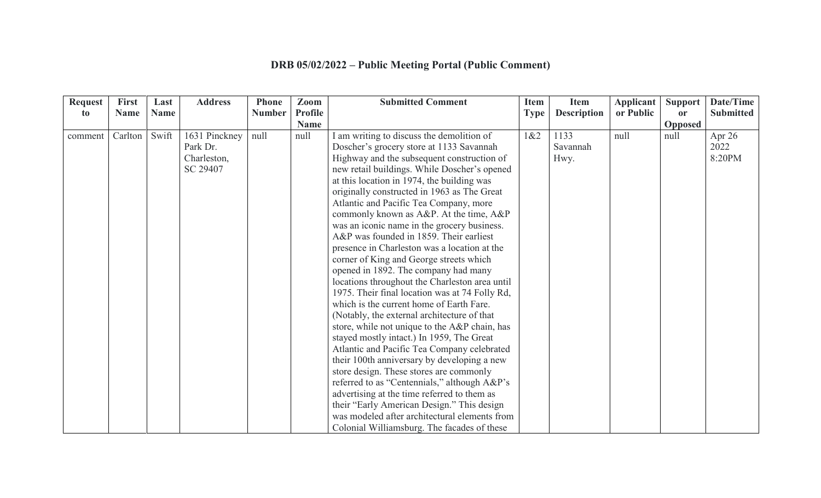## **DRB 05/02/2022 – Public Meeting Portal (Public Comment)**

| <b>Request</b> | <b>First</b> | Last        | <b>Address</b> | <b>Phone</b>  | Zoom           | <b>Submitted Comment</b>                       | <b>Item</b> | <b>Item</b>        | <b>Applicant</b> | <b>Support</b> | Date/Time        |
|----------------|--------------|-------------|----------------|---------------|----------------|------------------------------------------------|-------------|--------------------|------------------|----------------|------------------|
| to             | <b>Name</b>  | <b>Name</b> |                | <b>Number</b> | <b>Profile</b> |                                                | <b>Type</b> | <b>Description</b> | or Public        | <b>or</b>      | <b>Submitted</b> |
|                |              |             |                |               | <b>Name</b>    |                                                |             |                    |                  | Opposed        |                  |
| comment        | Carlton      | Swift       | 1631 Pinckney  | null          | null           | am writing to discuss the demolition of        | 1&2         | 1133               | null             | null           | Apr 26           |
|                |              |             | Park Dr.       |               |                | Doscher's grocery store at 1133 Savannah       |             | Savannah           |                  |                | 2022             |
|                |              |             | Charleston,    |               |                | Highway and the subsequent construction of     |             | Hwy.               |                  |                | 8:20PM           |
|                |              |             | SC 29407       |               |                | new retail buildings. While Doscher's opened   |             |                    |                  |                |                  |
|                |              |             |                |               |                | at this location in 1974, the building was     |             |                    |                  |                |                  |
|                |              |             |                |               |                | originally constructed in 1963 as The Great    |             |                    |                  |                |                  |
|                |              |             |                |               |                | Atlantic and Pacific Tea Company, more         |             |                    |                  |                |                  |
|                |              |             |                |               |                | commonly known as A&P. At the time, A&P        |             |                    |                  |                |                  |
|                |              |             |                |               |                | was an iconic name in the grocery business.    |             |                    |                  |                |                  |
|                |              |             |                |               |                | A&P was founded in 1859. Their earliest        |             |                    |                  |                |                  |
|                |              |             |                |               |                | presence in Charleston was a location at the   |             |                    |                  |                |                  |
|                |              |             |                |               |                | corner of King and George streets which        |             |                    |                  |                |                  |
|                |              |             |                |               |                | opened in 1892. The company had many           |             |                    |                  |                |                  |
|                |              |             |                |               |                | locations throughout the Charleston area until |             |                    |                  |                |                  |
|                |              |             |                |               |                | 1975. Their final location was at 74 Folly Rd, |             |                    |                  |                |                  |
|                |              |             |                |               |                | which is the current home of Earth Fare.       |             |                    |                  |                |                  |
|                |              |             |                |               |                | (Notably, the external architecture of that    |             |                    |                  |                |                  |
|                |              |             |                |               |                | store, while not unique to the A&P chain, has  |             |                    |                  |                |                  |
|                |              |             |                |               |                | stayed mostly intact.) In 1959, The Great      |             |                    |                  |                |                  |
|                |              |             |                |               |                | Atlantic and Pacific Tea Company celebrated    |             |                    |                  |                |                  |
|                |              |             |                |               |                | their 100th anniversary by developing a new    |             |                    |                  |                |                  |
|                |              |             |                |               |                | store design. These stores are commonly        |             |                    |                  |                |                  |
|                |              |             |                |               |                | referred to as "Centennials," although A&P's   |             |                    |                  |                |                  |
|                |              |             |                |               |                | advertising at the time referred to them as    |             |                    |                  |                |                  |
|                |              |             |                |               |                | their "Early American Design." This design     |             |                    |                  |                |                  |
|                |              |             |                |               |                | was modeled after architectural elements from  |             |                    |                  |                |                  |
|                |              |             |                |               |                | Colonial Williamsburg. The facades of these    |             |                    |                  |                |                  |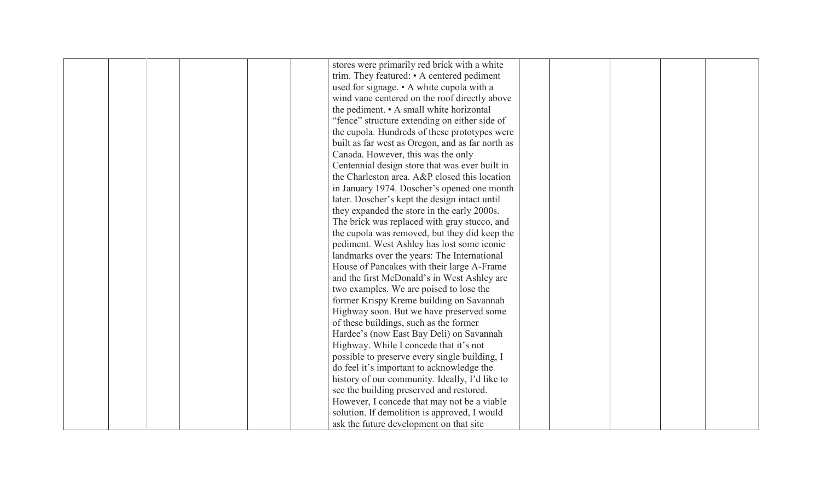| stores were primarily red brick with a white     |
|--------------------------------------------------|
| trim. They featured: • A centered pediment       |
| used for signage. • A white cupola with a        |
| wind vane centered on the roof directly above    |
| the pediment. • A small white horizontal         |
| "fence" structure extending on either side of    |
| the cupola. Hundreds of these prototypes were    |
| built as far west as Oregon, and as far north as |
| Canada. However, this was the only               |
| Centennial design store that was ever built in   |
| the Charleston area. A&P closed this location    |
| in January 1974. Doscher's opened one month      |
| later. Doscher's kept the design intact until    |
| they expanded the store in the early 2000s.      |
| The brick was replaced with gray stucco, and     |
| the cupola was removed, but they did keep the    |
| pediment. West Ashley has lost some iconic       |
| landmarks over the years: The International      |
|                                                  |
| House of Pancakes with their large A-Frame       |
| and the first McDonald's in West Ashley are      |
| two examples. We are poised to lose the          |
| former Krispy Kreme building on Savannah         |
| Highway soon. But we have preserved some         |
| of these buildings, such as the former           |
| Hardee's (now East Bay Deli) on Savannah         |
| Highway. While I concede that it's not           |
| possible to preserve every single building, I    |
| do feel it's important to acknowledge the        |
| history of our community. Ideally, I'd like to   |
| see the building preserved and restored.         |
| However, I concede that may not be a viable      |
| solution. If demolition is approved, I would     |
| ask the future development on that site          |